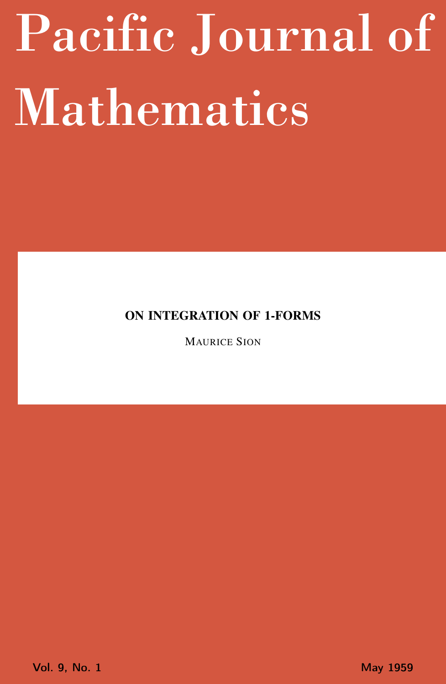# <span id="page-0-0"></span>Pacific Journal of Mathematics

ON INTEGRATION OF 1-FORMS

MAURICE SION

Vol. 9, No. 1 May 1959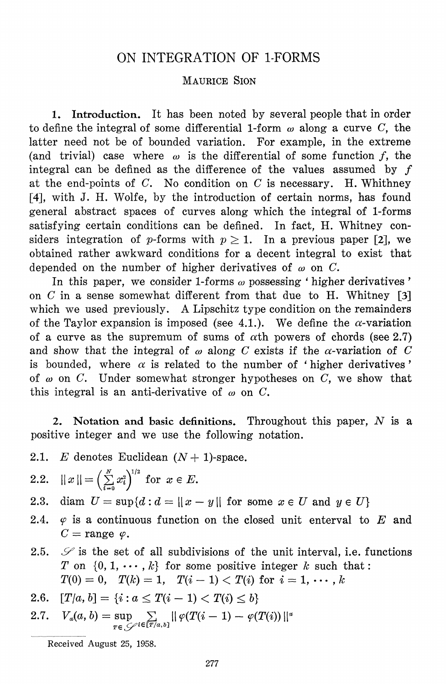# ON INTEGRATION OF 1-FORMS

#### MAURICE SION

1. Introduction. It has been noted by several people that in order to define the integral of some differential 1-form  $\omega$  along a curve C, the latter need not be of bounded variation. For example, in the extreme (and trivial) case where  $\omega$  is the differential of some function f, the integral can be defined as the difference of the values assumed by  $f$ at the end-points of  $C$ . No condition on  $C$  is necessary. H. Whithney [4], with J. H. Wolfe, by the introduction of certain norms, has found general abstract spaces of curves along which the integral of 1-forms satisfying certain conditions can be defined. In fact, H. Whitney considers integration of p-forms with  $p \ge 1$ . In a previous paper [2], we obtained rather awkward conditions for a decent integral to exist that depended on the number of higher derivatives of  $\omega$  on C.

In this paper, we consider 1-forms  $\omega$  possessing 'higher derivatives' on  $C$  in a sense somewhat different from that due to H. Whitney [3] which we used previously. A Lipschitz type condition on the remainders of the Taylor expansion is imposed (see 4.1.). We define the  $\alpha$ -variation of a curve as the supremum of sums of  $\alpha$ th powers of chords (see 2.7) and show that the integral of  $\omega$  along C exists if the  $\alpha$ -variation of C is bounded, where  $\alpha$  is related to the number of 'higher derivatives' of  $\omega$  on C. Under somewhat stronger hypotheses on C, we show that this integral is an anti-derivative of  $\omega$  on C.

2. Notation and basic definitions. Throughout this paper,  $N$  is a positive integer and we use the following notation.

- 2.1. E denotes Euclidean  $(N + 1)$ -space.
- $||x|| = \left(\sum_{i=0}^{N} x_i^2\right)^{1/2}$  for  $x \in E$ .  $2.2.$

diam  $U = \sup\{d : d = ||x - y|| \text{ for some } x \in U \text{ and } y \in U\}$ 2.3.

- $2.4.$  $\varphi$  is a continuous function on the closed unit enterval to E and  $C = \text{range } \varphi.$
- $\mathscr S$  is the set of all subdivisions of the unit interval, i.e. functions  $2.5.$ T on  $\{0, 1, \cdots, k\}$  for some positive integer k such that:  $T(0) = 0$ ,  $T(k) = 1$ ,  $T(i - 1) < T(i)$  for  $i = 1, \dots, k$
- $[T/a, b] = \{i : a \leq T(i-1) < T(i) \leq b\}$ 2.6.
- 2.7.  $V_a(a, b) = \sup_{r \in C} \sum_{i \in [T/a, b]} || \varphi(T(i-1) \varphi(T(i)) ||^2)$

Received August 25, 1958.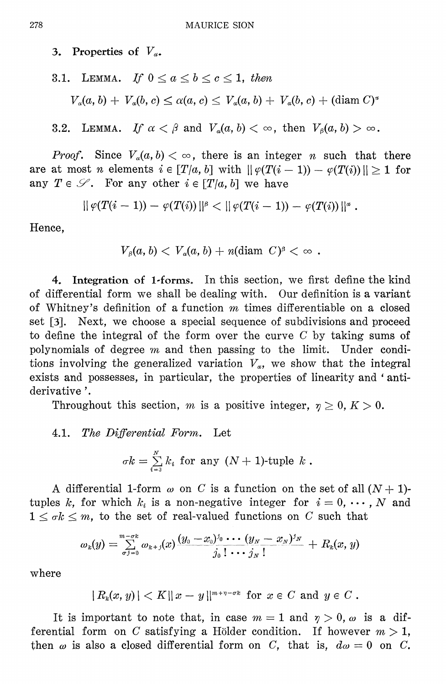3. Properties of  $V_{\alpha}$ .

3.1. Lemma. If 
$$
0 \le a \le b \le c \le 1
$$
, then  
\n
$$
V_a(a, b) + V_a(b, c) \le \alpha(a, c) \le V_a(a, b) + V_a(b, c) + (\text{diam } C)^*
$$

3.2. LEMMA. If  $\alpha < \beta$  and  $V_a(a, b) < \infty$ , then  $V_a(a, b) > \infty$ .

*Proof.* Since  $V_a(a, b) < \infty$ , there is an integer *n* such that there are at most *n* elements  $i \in [T/a, b]$  with  $||\varphi(T(i-1)) - \varphi(T(i))|| \ge 1$  for any  $T \in \mathcal{S}$ . For any other  $i \in [T/a, b]$  we have

$$
|| \varphi(T(i-1)) - \varphi(T(i)) ||^{\beta} < || \varphi(T(i-1)) - \varphi(T(i)) ||^{\alpha}.
$$

Hence.

$$
V_{\beta}(a, b) < V_a(a, b) + n(\text{diam } C)^{\beta} < \infty.
$$

4. Integration of 1-forms. In this section, we first define the kind of differential form we shall be dealing with. Our definition is a variant of Whitney's definition of a function  $m$  times differentiable on a closed set [3]. Next, we choose a special sequence of subdivisions and proceed to define the integral of the form over the curve  $C$  by taking sums of polynomials of degree  $m$  and then passing to the limit. Under conditions involving the generalized variation  $V_a$ , we show that the integral exists and possesses, in particular, the properties of linearity and 'antiderivative'.

Throughout this section, m is a positive integer,  $\eta \geq 0, K > 0$ .

# 4.1. The Differential Form. Let

$$
\sigma k = \sum_{i=0}^N k_i
$$
 for any  $(N + 1)$ -tuple  $k$ .

A differential 1-form  $\omega$  on C is a function on the set of all  $(N + 1)$ tuples k, for which  $k_i$  is a non-negative integer for  $i = 0, \dots, N$  and  $1 \leq \sigma k \leq m$ , to the set of real-valued functions on C such that

$$
\omega_{_{k}}(y) = \sum\limits_{\sigma j = 0}^{m - \sigma k} \omega_{_{k + j}}(x) \frac{(y_{_{0}} - x_{_{0}})^{j_{0}} \cdots (y_{_{N}} - x_{_{N}})^{j_{N}}}{j_{0}! \cdots j_{_{N}}!} + R_{_{k}}(x, y)
$$

where

 $|R_k(x, y)| < K || x - y ||^{m + \eta - \sigma k}$  for  $x \in C$  and  $y \in C$ .

It is important to note that, in case  $m = 1$  and  $\eta > 0$ ,  $\omega$  is a differential form on C satisfying a Hölder condition. If however  $m > 1$ , then  $\omega$  is also a closed differential form on C, that is,  $d\omega = 0$  on C.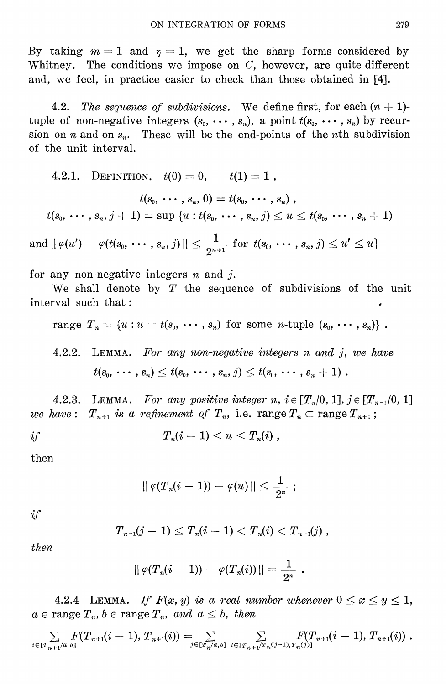By taking  $m=1$  and  $\eta=1$ , we get the sharp forms considered by Whitney. The conditions we impose on  $C$ , however, are quite different and, we feel, in practice easier to check than those obtained in [4].

 $4.2.$ The sequence of subdivisions. We define first, for each  $(n + 1)$ tuple of non-negative integers  $(s_0, \cdots, s_n)$ , a point  $t(s_0, \cdots, s_n)$  by recursion on *n* and on  $s_n$ . These will be the end-points of the *n*th subdivision of the unit interval.

4.2.1. DEFINITION. 
$$
t(0) = 0
$$
,  $t(1) = 1$ ,  
\n $t(s_0, \dots, s_n, 0) = t(s_0, \dots, s_n)$ ,  
\n $t(s_0, \dots, s_n, j + 1) = \sup \{u : t(s_0, \dots, s_n, j) \le u \le t(s_0, \dots, s_n + 1)\}$   
\nand  $|| \varphi(u') - \varphi(t(s_0, \dots, s_n, j) || \le \frac{1}{2^{n+1}}$  for  $t(s_0, \dots, s_n, j) \le u' \le u\}$ 

for any non-negative integers  $n$  and  $j$ .

We shall denote by  $T$  the sequence of subdivisions of the unit interval such that:

range 
$$
T_n = \{u : u = t(s_0, \cdots, s_n) \text{ for some } n\text{-tuple } (s_0, \cdots, s_n)\}
$$
.

 $4.2.2.$ LEMMA. For any non-negative integers  $n$  and  $j$ , we have  $t(s_0, \dots, s_n) \leq t(s_0, \dots, s_n, j) \leq t(s_0, \dots, s_n + 1)$ .

4.2.3. LEMMA. For any positive integer n,  $i \in [T_n/0, 1], j \in [T_{n-1}/0, 1]$  $T_{n+1}$  is a refinement of  $T_n$ , i.e. range  $T_n \subset \text{range } T_{n+1}$ ;  $we\; have:$ 

$$
if \hspace{1cm} T_n(i-1) \le u \le T_n(i) ,
$$

then

$$
||\, \varphi (T_{\it n} (i-1)) - \varphi (u) \, || \leq \frac{1}{2^{n}} \,\, ;
$$

 $if$ 

$$
T_{n-1}(j-1) \leq T_n(i-1) < T_n(i) < T_{n-1}(j) \; ,
$$

then

$$
|| \, \varphi ( T_n (i-1) ) - \varphi ( T_n (i) ) \, || = \frac{1}{2^n}
$$

4.2.4 LEMMA. If  $F(x, y)$  is a real number whenever  $0 \le x \le y \le 1$ ,  $a \in \text{range } T_n$ ,  $b \in \text{range } T_n$ , and  $a \leq b$ , then

$$
\textstyle \sum\limits_{i \in [T_{n+1}/a,b]} F(T_{n+1}(i-1),\,T_{n+1}(i)) = \sum\limits_{j \in [T_{n}/a,b]} \; \sum\limits_{i \in [T_{n+1}/T_n(j-1),T_n(j)]} F(T_{n+1}(i-1),\,T_{n+1}(i))\;.
$$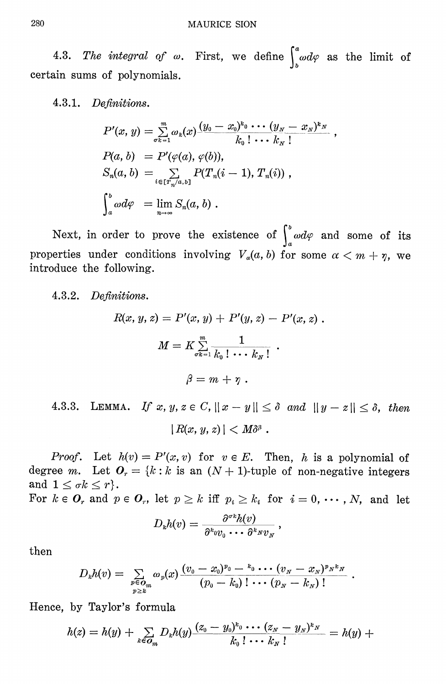4.3. The integral of  $\omega$ . First, we define  $\int_{0}^{a} \omega d\varphi$  as the limit of certain sums of polynomials.

4.3.1. Definitions.

$$
P'(x, y) = \sum_{\sigma_{k=1}}^{m} \omega_k(x) \frac{(y_0 - x_0)^{k_0} \cdots (y_N - x_N)^{k_N}}{k_0! \cdots k_N!}
$$
  
\n
$$
P(a, b) = P'(\varphi(a), \varphi(b)),
$$
  
\n
$$
S_n(a, b) = \sum_{i \in [T_n/a, b]} P(T_n(i-1), T_n(i)),
$$
  
\n
$$
\int_a^b \omega d\varphi = \lim_{n \to \infty} S_n(a, b).
$$

Next, in order to prove the existence of  $\int_{a}^{b} \omega d\varphi$  and some of its properties under conditions involving  $V_a(a, b)$  for some  $\alpha < m + \eta$ , we introduce the following.

### 4.3.2. Definitions.

$$
R(x, y, z) = P'(x, y) + P'(y, z) - P'(x, z) .
$$

$$
M = K \sum_{\sigma k=1}^{m} \frac{1}{k_0! \cdots k_N!} .
$$

$$
\beta = m + \gamma .
$$

4.3.3. LEMMA. If  $x, y, z \in C$ ,  $||x - y|| \le \delta$  and  $||y - z|| \le \delta$ , then  $|R(x, y, z)| < M\delta^{\beta}$ .

*Proof.* Let  $h(v) = P'(x, v)$  for  $v \in E$ . Then, h is a polynomial of degree m. Let  $O_r = \{k : k \text{ is an } (N+1) \text{-tuple of non-negative integers} \}$ and  $1 \leq \sigma k \leq r$ .

For  $k \in O_r$  and  $p \in O_r$ , let  $p \ge k$  iff  $p_i \ge k_i$  for  $i = 0, \dots, N$ , and let

$$
D_kh(v)=\frac{\partial^{\sigma_k}h(v)}{\partial^k\sigma v_0\cdots\partial^k s v_N}:
$$

then

$$
D_{k}h(v) = \sum_{\substack{p \in O_m \\ p \geq k}} \omega_{p}(x) \frac{(v_0 - x_0)^{p_0} - {^{k_0}} \cdots (v_{N} - x_{N})^{p_{N}k_{N}}}{(p_0 - k_0) \, ! \cdots (p_{N} - k_{N}) \, !}.
$$

Hence, by Taylor's formula

$$
h(z) = h(y) + \sum_{k \in G_m} D_k h(y) \frac{(z_0 - y_0)^{k_0} \cdots (z_N - y_N)^{k_N}}{k_0! \cdots k_N!} = h(y) +
$$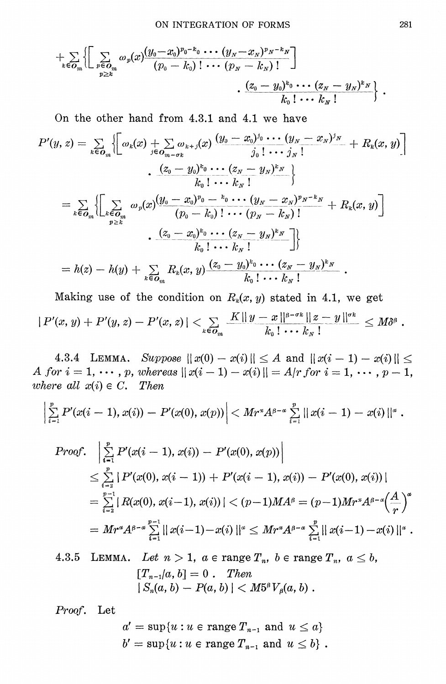$$
\frac{1}{k \epsilon O_m} \Biggl\{ \Biggl[ \sum_{\substack{p \in O_m \\ p \ge k}} \omega_p(x) \frac{(y_0 - x_0)^{p_0 - k_0} \cdots (y_N - x_N)^{p_N - k_N}}{(p_0 - k_0) \cdots (p_N - k_N)!} \Biggr] \Biggr\} \\ \frac{(z_0 - y_0)^{k_0} \cdots (z_N - y_N)^{k_N}}{k_0 \cdots k_N \cdots k_N!} \Biggr\} .
$$

On the other hand from 4.3.1 and 4.1 we have

$$
P'(y, z) = \sum_{k \in O_m} \left\{ \left[ \omega_k(x) + \sum_{j \in O_{m} - \sigma_k} \omega_{k+j}(x) \frac{(y_0 - x_0)^{j_0} \cdots (y_N - x_N)^{j_N}}{j_0! \cdots j_N!} + R_k(x, y) \right] \right. \\ \left. + \frac{(z_0 - y_0)^{k_0} \cdots (z_N - y_N)^{k_N}}{k_0! \cdots k_N!} \right\}
$$
  

$$
= \sum_{k \in O_m} \left\{ \left[ \sum_{k \in O_m} \omega_p(x) \frac{(y_0 - x_0)^{p_0} - {^k_0} \cdots (y_N - x_N)^{p_N - k_N}}{(p_0 - k_0)! \cdots (p_N - k_N)!} + R_k(x, y) \right] \right. \\ \left. + \frac{(z_0 - x_0)^{k_0} \cdots (z_N - y_N)^{k_N}}{k_0! \cdots k_N!} \right\}
$$
  

$$
= h(z) - h(y) + \sum_{k \in O_m} R_k(x, y) \frac{(z_0 - y_0)^{k_0} \cdots (z_N - y_N)^{k_N}}{k_0! \cdots k_N!}.
$$

Making use of the condition on  $R_k(x, y)$  stated in 4.1, we get  $|P'(x, y) + P'(y, z) - P'(x, z)| < \sum_{k \in O_m} \frac{K ||y - x||^{\beta - \sigma_k} ||z - y||^{\sigma_k}}{k_0! \cdots k_N!} \leq M \delta^{\beta}.$ 

4.3.4 LEMMA. Suppose  $||x(0) - x(i)|| \le A$  and  $||x(i - 1) - x(i)|| \le$ A for  $i = 1, \dots, p$ , whereas  $||x(i - 1) - x(i)|| = A/r$  for  $i = 1, \dots, p - 1$ , where all  $x(i) \in C$ . Then

$$
\left|\sum_{i=1}^p P'(x(i-1),x(i)) - P'(x(0),x(p))\right| < M r^* A^{\beta-\alpha} \sum_{i=1}^p ||x(i-1) - x(i)||^{\alpha}.
$$

Proof. 
$$
\left| \sum_{i=1}^{p} P'(x(i-1), x(i)) - P'(x(0), x(p)) \right|
$$
  
\n
$$
\leq \sum_{i=2}^{p} |P'(x(0), x(i-1)) + P'(x(i-1), x(i)) - P'(x(0), x(i))|
$$
  
\n
$$
= \sum_{i=2}^{p-1} |R(x(0), x(i-1), x(i))| < (p-1)MA^{\beta} = (p-1)Mr^{\alpha}A^{\beta-\alpha} \left(\frac{A}{r}\right)^{\alpha}
$$
  
\n
$$
= Mr^{\alpha}A^{\beta-\alpha} \sum_{i=1}^{p-1} ||x(i-1) - x(i)||^{\alpha} \leq Mr^{\alpha}A^{\beta-\alpha} \sum_{i=1}^{p} ||x(i-1) - x(i)||^{\alpha}.
$$

LEMMA. Let  $n > 1$ ,  $a \in \text{range } T_n$ ,  $b \in \text{range } T_n$ ,  $a \leq b$ , 4.3.5  $[T_{n-1}/a, b] = 0$ . Then  $|S_n(a, b) - P(a, b)| < M5^{\beta} V_{\beta}(a, b)$ .

Proof. Let

$$
a' = \sup\{u : u \in \text{range } T_{n-1} \text{ and } u \le a\}
$$
  

$$
b' = \sup\{u : u \in \text{range } T_{n-1} \text{ and } u \le b\}.
$$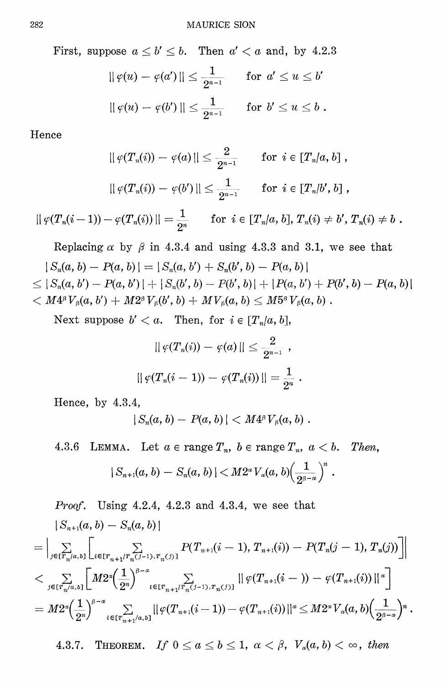First, suppose  $a \leq b' \leq b$ . Then  $a' < a$  and, by 4.2.3

$$
\begin{aligned} \|\varphi(u)-\varphi(a')\|&\leq\frac{1}{2^{n-1}}\qquad\text{for}\ \, a'\leq u\leq b'\\ \|\varphi(u)-\varphi(b')\,\|\leq\frac{1}{2^{n-1}}\qquad\text{for}\ \, b'\leq u\leq b\,\,.\end{aligned}
$$

Hence

$$
\|\varphi(T_n(i)) - \varphi(a)\| \leq \frac{2}{2^{n-1}} \quad \text{for } i \in [T_n/a, b] ,
$$

$$
|| \, \varphi ( T_n (i)) - \, \varphi (b') \, || \leq \frac{1}{2^{n-1}} \qquad {\rm for} \ \, i \in \llbracket T_n | b', \, b \rrbracket \; ,
$$

 $|| \varphi(T_n(i-1)) - \varphi(T_n(i)) || = \frac{1}{2^n}$  for  $i \in [T_n/a, b], T_n(i) \neq b', T_n(i) \neq b$ .

Replacing  $\alpha$  by  $\beta$  in 4.3.4 and using 4.3.3 and 3.1, we see that

- $|S_n(a, b) P(a, b)| = |S_n(a, b') + S_n(b', b) P(a, b)|$
- $\leq |S_n(a, b') P(a, b')| + |S_n(b', b) P(b', b)| + |P(a, b') + P(b', b) P(a, b)|$  $0 < M 4^{\beta} \, V_{\beta} (a,b') + M 2^{\beta} \, V_{\beta} (b',b) + M V_{\beta} (a,b) \le M 5^{\beta} \, V_{\beta} (a,b) \; .$

Next suppose  $b' < a$ . Then, for  $i \in [T_n/a, b]$ ,

$$
\left|\mid\varphi(T_n(i))-\varphi(a)\mid\mid\leq \frac{2}{2^{n-1}}\right.,
$$
  

$$
\left|\mid\varphi(T_n(i-1))-\varphi(T_n(i))\mid\mid=\frac{1}{2^n}\right.,
$$

Hence, by 4.3.4,

$$
|S_n(a, b) - P(a, b)| < M4^{\beta} V_{\beta}(a, b) .
$$

4.3.6 LEMMA. Let  $a \in \text{range } T_n$ ,  $b \in \text{range } T_n$ ,  $a < b$ . Then,

$$
|S_{n+1}(a,b)-S_n(a,b)|
$$

*Proof.* Using 4.2.4, 4.2.3 and 4.3.4, we see that

$$
\begin{aligned} &\|S_{n+1}(a,b)-S_n(a,b)\|\\ =&\left|\mathop{\textstyle{\sum}}_{j\in [\overline{T}_n/a,b]} \bigg[\mathop{\textstyle{\sum}}_{i\in [\overline{T}_{n+1}/\overline{T}_n(j-1),\overline{T}_n(j)]} P(T_{n+1}(i-1),T_{n+1}(i))-P(T_n(j-1),T_n(j))\bigg]\right|\\ < &\mathop{\textstyle{\sum}}_{j\in [\overline{T}_n/a,b]} \bigg[M2^x\Big(\frac{1}{2^n}\Big)^{\beta-\alpha}\mathop{\textstyle{\sum}}_{t\in [\overline{T}_{n+1}/\overline{T}_n(j-1),\overline{T}_n(j)]} \left|\left|\varphi(T_{n+1}(i-))-\varphi(T_{n+1}(i))\right|\right|^\alpha\bigg]\\ =M2^x\Big(\frac{1}{2^n}\Big)^{\beta-\alpha}\mathop{\textstyle{\sum}}_{i\in [\overline{T}_{n+1}/a,b]} \left|\left|\varphi(T_{n+1}(i-1))-\varphi(T_{n+1}(i))\right|\right|^\alpha \leq M2^xV_\alpha(a,b)\Big(\frac{1}{2^{\beta-\alpha}}\Big)^n\,. \end{aligned}
$$

THEOREM. If  $0 \le a \le b \le 1$ ,  $\alpha < \beta$ ,  $V_a(a, b) < \infty$ , then 4.3.7.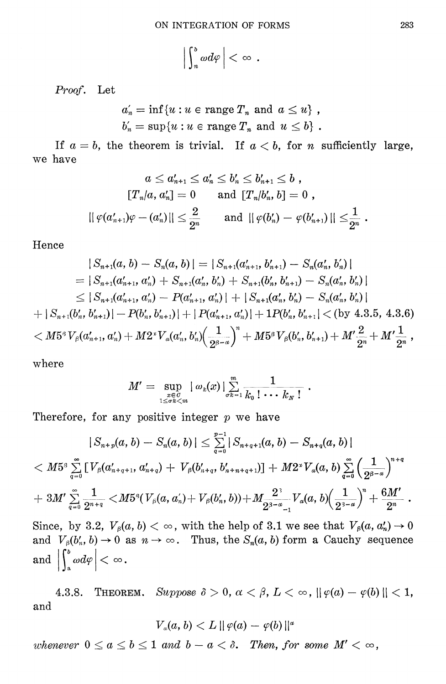$\left|\int_{n}^{b} \omega d\varphi\right| < \infty$ .

Proof. Let

$$
a_n' = \inf \{ u : u \in \text{range } T_n \text{ and } a \leq u \},\,
$$
  

$$
b_n' = \sup \{ u : u \in \text{range } T_n \text{ and } u \leq b \}.
$$

If  $a = b$ , the theorem is trivial. If  $a < b$ , for *n* sufficiently large, we have

$$
\begin{aligned} a \leq a_{n+1}' \leq a_n' \leq b_n' \leq b_{n+1}' \leq b \;, \\ \left[T_n/a,a_n'\right] & = 0 \qquad \text{and} \ \left[T_n/b_n',b\right] = 0 \;, \\ \left\|\,\varphi(a_{n+1}')\varphi - (a_n')\,\right\| & \leq \frac{2}{2^n} \qquad \text{and} \ \left\|\,\varphi(b_n') - \varphi(b_{n+1}')\,\right\| \leq & \frac{1}{2^n} \;. \end{aligned}
$$

Hence

$$
|S_{n+1}(a, b) - S_n(a, b)| = |S_{n+1}(a'_{n+1}, b'_{n+1}) - S_n(a'_n, b'_n)|
$$
  
\n
$$
= |S_{n+1}(a'_{n+1}, a'_n) + S_{n+1}(a'_n, b'_n) + S_{n+1}(b'_n, b'_{n+1}) - S_n(a'_n, b'_n)|
$$
  
\n
$$
\leq |S_{n+1}(a'_{n+1}, a'_n) - P(a'_{n+1}, a'_n)| + |S_{n+1}(a'_n, b'_n) - S_n(a'_n, b'_n)|
$$
  
\n
$$
+ |S_{n+1}(b'_n, b'_{n+1})| - P(b'_n, b'_{n+1})| + |P(a'_{n+1}, a'_n)| + 1P(b'_n, b'_{n+1}) < (by 4.3.5, 4.3.6)
$$
  
\n
$$
< M5^3 V_\beta(a'_{n+1}, a'_n) + M2^{\nu} V_\alpha(a'_n, b'_n) \left(\frac{1}{2^{\beta-\alpha}}\right)^n + M5^{\beta} V_\beta(b'_n, b'_{n+1}) + M' \frac{2}{2^n} + M' \frac{1}{2^n},
$$

where

$$
M'=\sup_{\genfrac{}{}{0pt}{}{x\in C}{1\leq \sigma k
$$

Therefore, for any positive integer  $p$  we have

$$
|S_{n+p}(a,b)-S_n(a,b)|\leq \sum_{q=0}^{p-1} |S_{n+q+1}(a,b)-S_{n+q}(a,b)|\\< M5^s\sum_{q=0}^{\infty}\left[V_{\beta}(a'_{n+q+1},a'_{n+q})+V_{\beta}(b'_{n+q},b'_{n+n+q+1})\right]+M2^sV_{a}(a,b)\sum_{q=0}^{\infty}\left(\frac{1}{2^{\beta-\alpha}}\right)^{n+q}\\+3M'\sum_{q=0}^{\infty}\frac{1}{2^{n+q}}< M5^s(V_{\beta}(a,a'_{n})+V_{\beta}(b'_{n},b))+M\frac{2^3}{2^{\beta-\alpha}-1}V_{a}(a,b)\left(\frac{1}{2^{\beta-\alpha}}\right)^{n}+\frac{6M'}{2^n}.
$$

Since, by 3.2,  $V_\beta(a, b) < \infty$ , with the help of 3.1 we see that  $V_\beta(a, a'_n) \to 0$ and  $V_{\beta}(b'_n, b) \rightarrow 0$  as  $n \rightarrow \infty$ . Thus, the  $S_n(a, b)$  form a Cauchy sequence and  $\left|\int_a^b \omega d\varphi\right| < \infty$ .

4.3.8. THEOREM. Suppose  $\delta > 0$ ,  $\alpha < \beta$ ,  $L < \infty$ ,  $\|\varphi(a) - \varphi(b)\| < 1$ , and

$$
V_a(a,b)
$$

whenever  $0 \le a \le b \le 1$  and  $b - a < \delta$ . Then, for some  $M' < \infty$ ,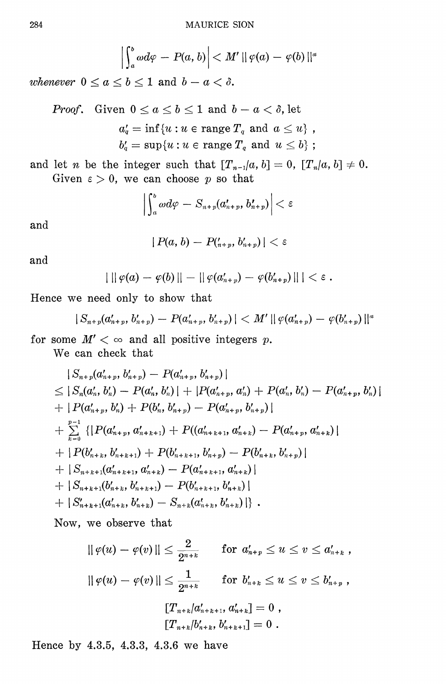$$
\left|\int_a^b \omega d\varphi - P(a,b)\right| < M' \|\varphi(a) - \varphi(b)\|^a
$$

whenever  $0 \le a \le b \le 1$  and  $b - a < \delta$ .

*Proof.* Given 
$$
0 \le a \le b \le 1
$$
 and  $b - a < \delta$ , let  
\n $a'_q = \inf \{u : u \in \text{range } T_q \text{ and } a \le u\},$   
\n $b'_q = \sup \{u : u \in \text{range } T_q \text{ and } u \le b\};$ 

and let *n* be the integer such that  $[T_{n-1}/a, b] = 0$ ,  $[T_n/a, b] \neq 0$ . Given  $\varepsilon > 0$ , we can choose p so that

$$
\left|\int_a^b \omega d\varphi - S_{n+p}(a'_{n+p},b'_{n+p})\right| < \varepsilon
$$

and

$$
| P(a,b) - P({}_{n+p}^{\prime}, {b}_{n+p}^{\prime}) | < \varepsilon
$$

and

$$
| \ || \varphi(a) - \varphi(b) || - || \varphi(a_{n+p}') - \varphi(b_{n+p}') || | < \varepsilon.
$$

Hence we need only to show that

$$
|S_{n+p}(a'_{n+p},b'_{n+p})-P(a'_{n+p},b'_{n+p})| < M' ||\varphi(a'_{n+p})-\varphi(b'_{n+p})||^{\alpha}
$$

for some  $M' < \infty$  and all positive integers p.

We can check that

$$
|S_{n+p}(a'_{n+p}, b'_{n+p}) - P(a'_{n+p}, b'_{n+p})|
$$
  
\n
$$
\leq |S_n(a'_n, b'_n) - P(a'_n, b'_n)| + |P(a'_{n+p}, a'_n) + P(a'_n, b'_n) - P(a'_{n+p}, b'_n)|
$$
  
\n
$$
+ |P(a'_{n+p}, b'_n) + P(b'_n, b'_{n+p}) - P(a'_{n+p}, b'_{n+p})|
$$
  
\n
$$
+ \sum_{k=0}^{p-1} \{ |P(a'_{n+p}, a'_{n+k+1}) + P((a'_{n+k+1}, a'_{n+k}) - P(a'_{n+p}, a'_{n+k})|
$$
  
\n
$$
+ |P(b'_{n+k}, b'_{n+k+1}) + P(b'_{n+k+1}, b'_{n+p}) - P(b'_{n+k}, b'_{n+p})|
$$
  
\n
$$
+ |S_{n+k+1}(a'_{n+k+1}, a'_{n+k}) - P(a'_{n+k+1}, a'_{n+k})|
$$
  
\n
$$
+ |S_{n+k+1}(b'_{n+k}, b'_{n+k+1}) - P(b'_{n+k+1}, b'_{n+k})|
$$
  
\n
$$
+ |S'_{n+k+1}(a'_{n+k}, b'_{n+k}) - S_{n+k}(a'_{n+k}, b'_{n+k})| \}.
$$

Now, we observe that

$$
\begin{aligned} ||\,\varphi(u)-\varphi(v)\,||&\leq \frac{2}{2^{n+k}}\qquad \text{for}\,\, a'_{n+p}\leq u\leq v\leq a'_{n+k}\ ,\\ ||\,\varphi(u)-\varphi(v)\,||&\leq \frac{1}{2^{n+k}}\qquad \text{for}\,\, b'_{n+k}\leq u\leq v\leq b'_{n+p}\ ,\\ &\quad [T_{n+k}|a'_{n+k+1},\, a'_{n+k}]=0\ ,\\ &\quad [T_{n+k}|b'_{n+k},\, b'_{n+k+1}]=0\ . \end{aligned}
$$

Hence by 4.3.5, 4.3.3, 4.3.6 we have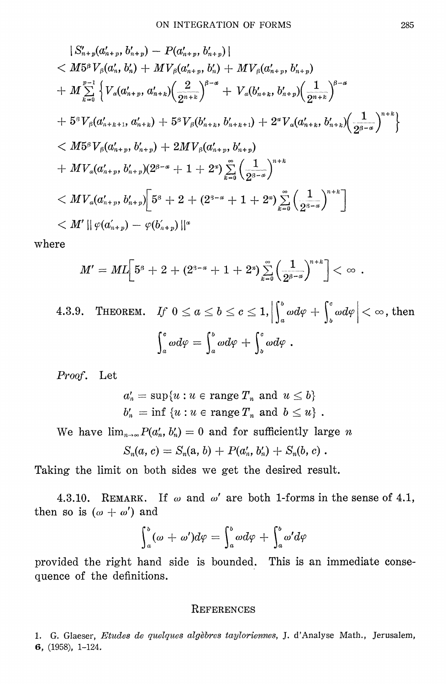$$
|S'_{n+p}(a'_{n+p}, b'_{n+p}) - P(a'_{n+p}, b'_{n+p})|
$$
  

$$
< M5^{\beta}V_{\beta}(a'_{n}, b'_{n}) + MV_{\beta}(a'_{n+p}, b'_{n}) + MV_{\beta}(a'_{n+p}, b'_{n+p})
$$
  

$$
+ M \sum_{k=0}^{p-1} \left\{ V_{\alpha}(a'_{n+p}, a'_{n+k}) \left( \frac{2}{2^{n+k}} \right)^{\beta-\alpha} + V_{\alpha}(b'_{n+k}, b'_{n+p}) \left( \frac{1}{2^{n+k}} \right)^{\beta-\alpha} \right\}
$$
  

$$
+ 5^{\beta}V_{\beta}(a'_{n+k+1}, a'_{n+k}) + 5^{\beta}V_{\beta}(b'_{n+k}, b'_{n+k+1}) + 2^{\alpha}V_{\alpha}(a'_{n+k}, b'_{n+k}) \left( \frac{1}{2^{\beta-\alpha}} \right)^{n+k} \right\}
$$
  

$$
< M5^{\beta}V_{\beta}(a'_{n+p}, b'_{n+p}) + 2MV_{\beta}(a'_{n+p}, b'_{n+p})
$$
  

$$
+ MV_{\alpha}(a'_{n+p}, b'_{n+p})(2^{\beta-\alpha}+1+2^{\alpha}) \sum_{k=0}^{\infty} \left( \frac{1}{2^{\beta-\alpha}} \right)^{n+k}
$$
  

$$
< MV_{\alpha}(a'_{n+p}, b'_{n+p}) \left[ 5^{\beta} + 2 + (2^{\beta-\alpha}+1+2^{\alpha}) \sum_{k=0}^{\infty} \left( \frac{1}{2^{\beta-\alpha}} \right)^{n+k} \right]
$$
  

$$
< M' || \varphi(a'_{n+p}) - \varphi(b'_{n+p}) ||^{\alpha}
$$

where

$$
M'=ML\Big[5^{\beta}+2+(2^{3-\alpha}+1+2^x)\sum\limits_{k=0}^{\infty}\Big(\frac{1}{2^{\beta-\alpha}}\Big)^{n+k}\Big]<\infty\enspace.
$$

THEOREM. If  $0 \le a \le b \le c \le 1$ ,  $\left| \int_a^b \omega d\varphi + \int_b^c \omega d\varphi \right| < \infty$ , then 4.3.9.  $\int_a^c \omega d\varphi = \int_a^b \omega d\varphi + \int_b^c \omega d\varphi.$ 

Proof. Let

$$
\begin{aligned} a'_n &= \sup\{u : u \in \text{range } T_n \, \text{ and } \, u \leq b\} \\ b'_n &= \inf\,\{u : u \in \text{range } T_n \, \text{ and } \, b \leq u\} \,\, . \end{aligned}
$$

We have  $\lim_{n\to\infty} P(a'_n, b'_n) = 0$  and for sufficiently large *n* 

$$
S_n(a, c) = S_n(a, b) + P(a'_n, b'_n) + S_n(b, c).
$$

Taking the limit on both sides we get the desired result.

REMARK. If  $\omega$  and  $\omega'$  are both 1-forms in the sense of 4.1,  $4.3.10.$ then so is  $(\omega + \omega')$  and

$$
\int_a^b (\omega + \omega') d\varphi = \int_a^b \omega d\varphi + \int_a^b \omega' d\varphi
$$

provided the right hand side is bounded. This is an immediate consequence of the definitions.

#### REFERENCES

1. G. Glaeser, Etudes de quelques algèbres tayloriennes, J. d'Analyse Math., Jerusalem, 6,  $(1958)$ , 1-124.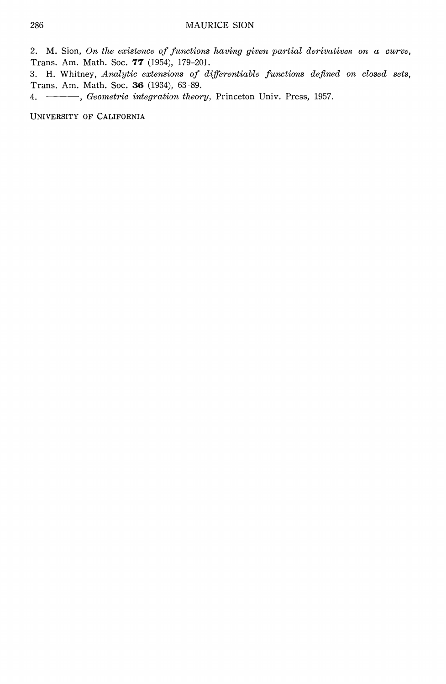2. M. Sion, On the existence of functions having given partial derivatives on  $a$  curve, Trans. Am. Math. Soc. 77 (1954), 179-201.

3. H. Whitney, Analytic extensions of differentiable functions defined on closed sets, Trans. Am. Math. Soc. 36 (1934), 63-89.

4. - Geometric integration theory, Princeton Univ. Press, 1957.

UNIVERSITY OF CALIFORNIA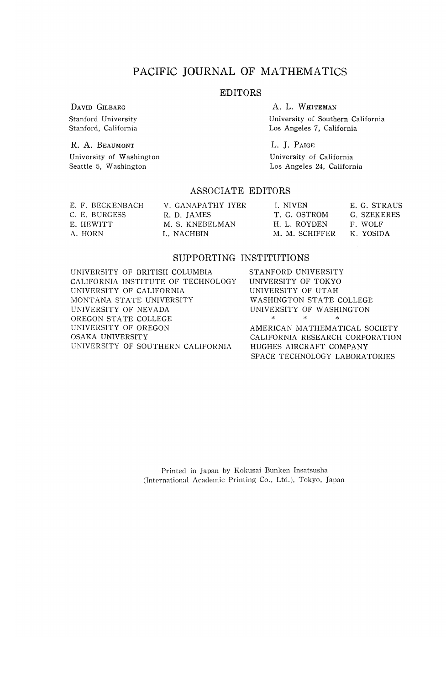## PACIFIC JOURNAL OF MATHEMATICS

#### EDITORS

DAVID GILBARG

Stanford University Stanford, California

R. A. BEAUMONT University of Washington Seattle 5, Washington

A. L. WHITEMAN University of Southern California Los Angeles 7, California

L. J. PAIGE University of California Los Angeles 24, California

#### ASSOCIATE EDITORS

| E. F. BECKENBACH<br>C. E. BURGESS | V. GANAPATHY IYER<br>R. D. JAMES | I. NIVEN<br>T. G. OSTROM | E. G. STRAUS<br>G. SZEKERES |
|-----------------------------------|----------------------------------|--------------------------|-----------------------------|
| E. HEWITT                         | M. S. KNEBELMAN                  | H. L. ROYDEN             | F. WOLF                     |
| A. HORN                           | L. NACHBIN                       | M. M. SCHIFFER           | K. YOSIDA                   |

#### SUPPORTING INSTITUTIONS

UNIVERSITY OF BRITISH COLUMBIA CALIFORNIA INSTITUTE OF TECHNOLOGY UNIVERSITY OF CALIFORNIA MONTANA STATE UNIVERSITY UNIVERSITY OF NEVADA OREGON STATE COLLEGE UNIVERSITY OF OREGON OSAKA UNIVERSITY UNIVERSITY OF SOUTHERN CALIFORNIA

STANFORD UNIVERSITY UNIVERSITY OF TOKYO UNIVERSITY OF UTAH WASHINGTON STATE COLLEGE UNIVERSITY OF WASHINGTON \* \* \*

AMERICAN MATHEMATICAL SOCIETY CALIFORNIA RESEARCH CORPORATION HUGHES AIRCRAFT COMPANY SPACE TECHNOLOGY LABORATORIES

Printed in Japan by Kokusai Bunken Insatsusha (International Academic Printing Co., Ltd.), Tokyo, Japan